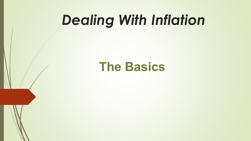# *Dealing With Inflation*

### **The Basics**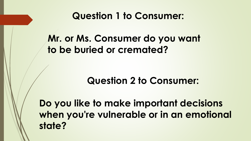#### **Question 1 to Consumer:**

#### **Mr. or Ms. Consumer do you want to be buried or cremated?**

#### **Question 2 to Consumer:**

**Do you like to make important decisions when you're vulnerable or in an emotional state?**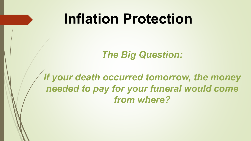## **Inflation Protection**

#### *The Big Question:*

#### *If your death occurred tomorrow, the money needed to pay for your funeral would come from where?*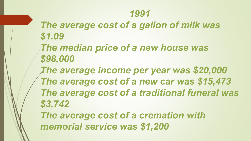#### *1991*

- *The average cost of a gallon of milk was \$1.09*
- *The median price of a new house was \$98,000*
- *The average income per year was \$20,000 The average cost of a new car was \$15,473 The average cost of a traditional funeral was \$3,742*

*The average cost of a cremation with memorial service was \$1,200*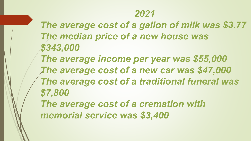#### *2021*

*The average cost of a gallon of milk was \$3.77 The median price of a new house was \$343,000*

*The average income per year was \$55,000 The average cost of a new car was \$47,000 The average cost of a traditional funeral was \$7,800*

*The average cost of a cremation with memorial service was \$3,400*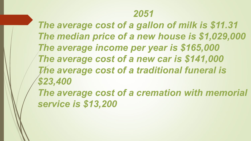#### *2051*

*The average cost of a gallon of milk is \$11.31 The median price of a new house is \$1,029,000 The average income per year is \$165,000 The average cost of a new car is \$141,000 The average cost of a traditional funeral is \$23,400*

*The average cost of a cremation with memorial service is \$13,200*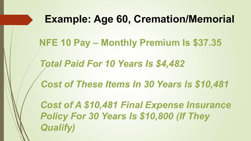# **Example: Age 60, Cremation/Memorial NFE 10 Pay – Monthly Premium Is \$37.35**  *Total Paid For 10 Years Is \$4,482 Cost of These Items In 30 Years Is \$10,481 Cost of A \$10,481 Final Expense Insurance Policy For 30 Years Is \$10,800 (If They Qualify)*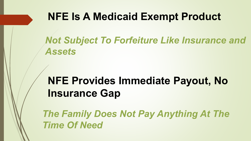#### **NFE Is A Medicaid Exempt Product**

*Not Subject To Forfeiture Like Insurance and Assets*

### **NFE Provides Immediate Payout, No Insurance Gap**

*The Family Does Not Pay Anything At The Time Of Need*